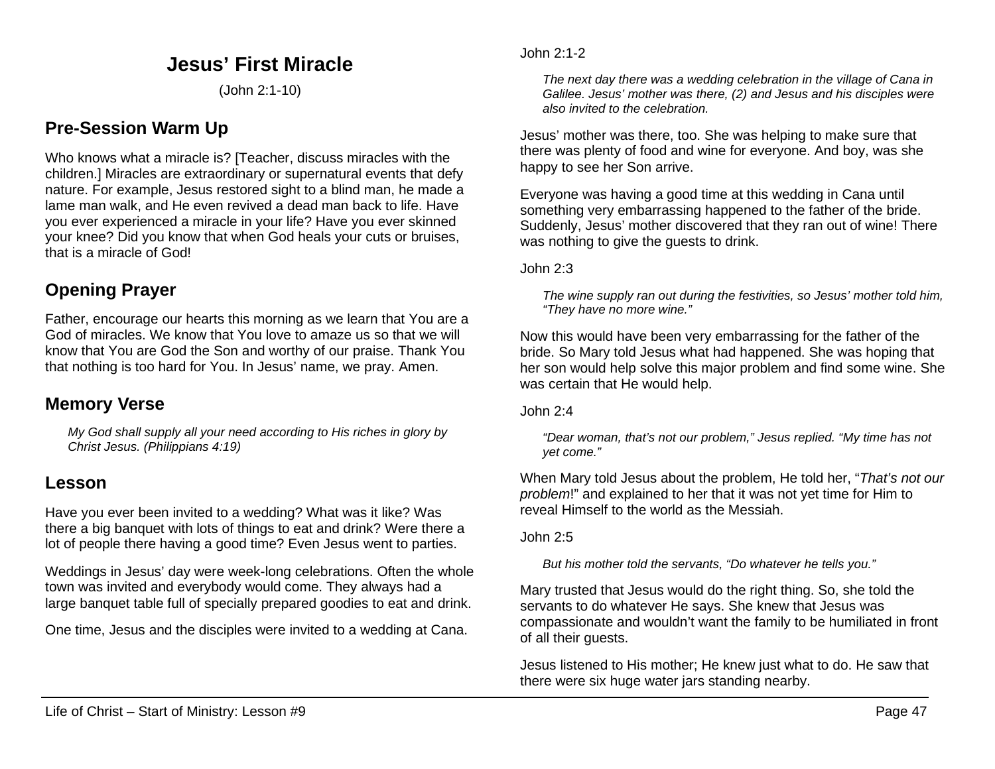# **Jesus' First Miracle**

(John 2:1-10)

# **Pre-Session Warm Up**

Who knows what a miracle is? [Teacher, discuss miracles with the children.] Miracles are extraordinary or supernatural events that defy nature. For example, Jesus restored sight to a blind man, he made a lame man walk, and He even revived a dead man back to life. Have you ever experienced a miracle in your life? Have you ever skinned your knee? Did you know that when God heals your cuts or bruises, that is a miracle of God!

# **Opening Prayer**

Father, encourage our hearts this morning as we learn that You are a God of miracles. We know that You love to amaze us so that we will know that You are God the Son and worthy of our praise. Thank You that nothing is too hard for You. In Jesus' name, we pray. Amen.

### **Memory Verse**

*My God shall supply all your need according to His riches in glory by Christ Jesus. (Philippians 4:19)* 

### **Lesson**

Have you ever been invited to a wedding? What was it like? Was there a big banquet with lots of things to eat and drink? Were there a lot of people there having a good time? Even Jesus went to parties.

Weddings in Jesus' day were week-long celebrations. Often the whole town was invited and everybody would come. They always had a large banquet table full of specially prepared goodies to eat and drink.

One time, Jesus and the disciples were invited to a wedding at Cana.

John 2:1-2

*The next day there was a wedding celebration in the village of Cana in Galilee. Jesus' mother was there, (2) and Jesus and his disciples were also invited to the celebration.*

Jesus' mother was there, too. She was helping to make sure that there was plenty of food and wine for everyone. And boy, was she happy to see her Son arrive.

Everyone was having a good time at this wedding in Cana until something very embarrassing happened to the father of the bride. Suddenly, Jesus' mother discovered that they ran out of wine! There was nothing to give the guests to drink.

John 2:3

*The wine supply ran out during the festivities, so Jesus' mother told him, "They have no more wine."*

Now this would have been very embarrassing for the father of the bride. So Mary told Jesus what had happened. She was hoping that her son would help solve this major problem and find some wine. She was certain that He would help.

John 2:4

*"Dear woman, that's not our problem," Jesus replied. "My time has not yet come."*

When Mary told Jesus about the problem, He told her, "*That's not our problem*!" and explained to her that it was not yet time for Him to reveal Himself to the world as the Messiah.

John 2:5

*But his mother told the servants, "Do whatever he tells you."*

Mary trusted that Jesus would do the right thing. So, she told the servants to do whatever He says. She knew that Jesus was compassionate and wouldn't want the family to be humiliated in front of all their guests.

Jesus listened to His mother; He knew just what to do. He saw that there were six huge water jars standing nearby.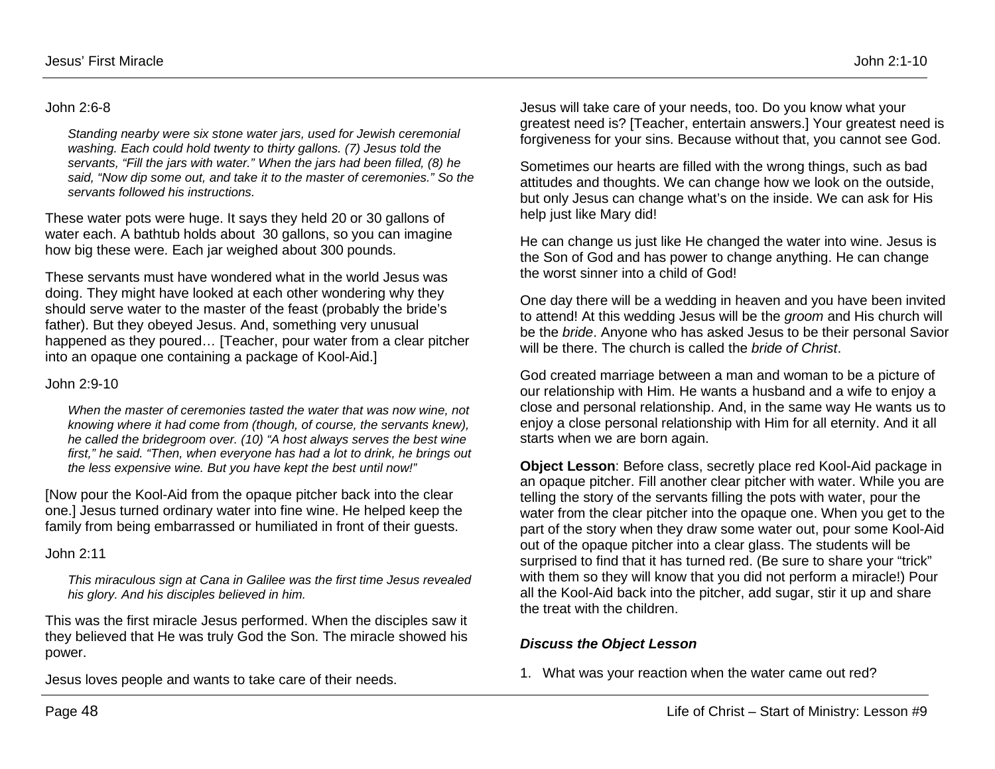### John 2:6-8

*Standing nearby were six stone water jars, used for Jewish ceremonial washing. Each could hold twenty to thirty gallons. (7) Jesus told the servants, "Fill the jars with water." When the jars had been filled, (8) he said, "Now dip some out, and take it to the master of ceremonies." So the servants followed his instructions.*

These water pots were huge. It says they held 20 or 30 gallons of water each. A bathtub holds about 30 gallons, so you can imagine how big these were. Each jar weighed about 300 pounds.

These servants must have wondered what in the world Jesus was doing. They might have looked at each other wondering why they should serve water to the master of the feast (probably the bride's father). But they obeyed Jesus. And, something very unusual happened as they poured… [Teacher, pour water from a clear pitcher into an opaque one containing a package of Kool-Aid.]

### John 2:9-10

*When the master of ceremonies tasted the water that was now wine, not knowing where it had come from (though, of course, the servants knew), he called the bridegroom over. (10) "A host always serves the best wine first," he said. "Then, when everyone has had a lot to drink, he brings out the less expensive wine. But you have kept the best until now!"*

[Now pour the Kool-Aid from the opaque pitcher back into the clear one.] Jesus turned ordinary water into fine wine. He helped keep the family from being embarrassed or humiliated in front of their guests.

John 2:11

*This miraculous sign at Cana in Galilee was the first time Jesus revealed his glory. And his disciples believed in him.*

This was the first miracle Jesus performed. When the disciples saw it they believed that He was truly God the Son. The miracle showed his power.

Jesus loves people and wants to take care of their needs.

Jesus will take care of your needs, too. Do you know what your greatest need is? [Teacher, entertain answers.] Your greatest need is forgiveness for your sins. Because without that, you cannot see God.

Sometimes our hearts are filled with the wrong things, such as bad attitudes and thoughts. We can change how we look on the outside, but only Jesus can change what's on the inside. We can ask for His help just like Mary did!

He can change us just like He changed the water into wine. Jesus is the Son of God and has power to change anything. He can change the worst sinner into a child of God!

One day there will be a wedding in heaven and you have been invited to attend! At this wedding Jesus will be the *groom* and His church will be the *bride*. Anyone who has asked Jesus to be their personal Savior will be there. The church is called the *bride of Christ*.

God created marriage between a man and woman to be a picture of our relationship with Him. He wants a husband and a wife to enjoy a close and personal relationship. And, in the same way He wants us to enjoy a close personal relationship with Him for all eternity. And it all starts when we are born again.

**Object Lesson**: Before class, secretly place red Kool-Aid package in an opaque pitcher. Fill another clear pitcher with water. While you are telling the story of the servants filling the pots with water, pour the water from the clear pitcher into the opaque one. When you get to the part of the story when they draw some water out, pour some Kool-Aid out of the opaque pitcher into a clear glass. The students will be surprised to find that it has turned red. (Be sure to share your "trick" with them so they will know that you did not perform a miracle!) Pour all the Kool-Aid back into the pitcher, add sugar, stir it up and share the treat with the children.

### *Discuss the Object Lesson*

1. What was your reaction when the water came out red?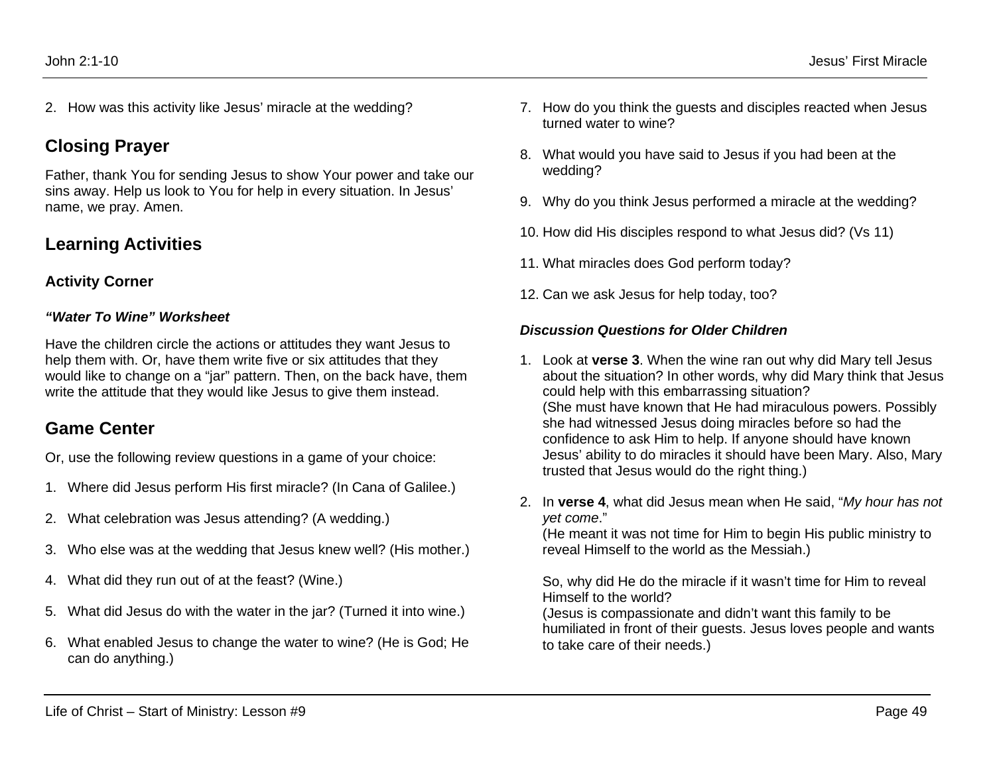2. How was this activity like Jesus' miracle at the wedding?

# **Closing Prayer**

Father, thank You for sending Jesus to show Your power and take our sins away. Help us look to You for help in every situation. In Jesus' name, we pray. Amen.

# **Learning Activities**

### **Activity Corner**

### *"Water To Wine" Worksheet*

Have the children circle the actions or attitudes they want Jesus to help them with. Or, have them write five or six attitudes that they would like to change on a "jar" pattern. Then, on the back have, them write the attitude that they would like Jesus to give them instead.

## **Game Center**

- Or, use the following review questions in a game of your choice:
- 1. Where did Jesus perform His first miracle? (In Cana of Galilee.)
- 2. What celebration was Jesus attending? (A wedding.)
- 3. Who else was at the wedding that Jesus knew well? (His mother.)
- 4. What did they run out of at the feast? (Wine.)
- 5. What did Jesus do with the water in the jar? (Turned it into wine.)
- 6. What enabled Jesus to change the water to wine? (He is God; He can do anything.)
- 7. How do you think the guests and disciples reacted when Jesus turned water to wine?
- 8. What would you have said to Jesus if you had been at the wedding?
- 9. Why do you think Jesus performed a miracle at the wedding?
- 10. How did His disciples respond to what Jesus did? (Vs 11)
- 11. What miracles does God perform today?
- 12. Can we ask Jesus for help today, too?

### *Discussion Questions for Older Children*

- 1. Look at **verse 3**. When the wine ran out why did Mary tell Jesus about the situation? In other words, why did Mary think that Jesus could help with this embarrassing situation? (She must have known that He had miraculous powers. Possibly she had witnessed Jesus doing miracles before so had the confidence to ask Him to help. If anyone should have known Jesus' ability to do miracles it should have been Mary. Also, Mary trusted that Jesus would do the right thing.)
- 2. In **verse 4**, what did Jesus mean when He said, "*My hour has not yet come*."

(He meant it was not time for Him to begin His public ministry to reveal Himself to the world as the Messiah.)

So, why did He do the miracle if it wasn't time for Him to reveal Himself to the world?

(Jesus is compassionate and didn't want this family to be humiliated in front of their guests. Jesus loves people and wants to take care of their needs.)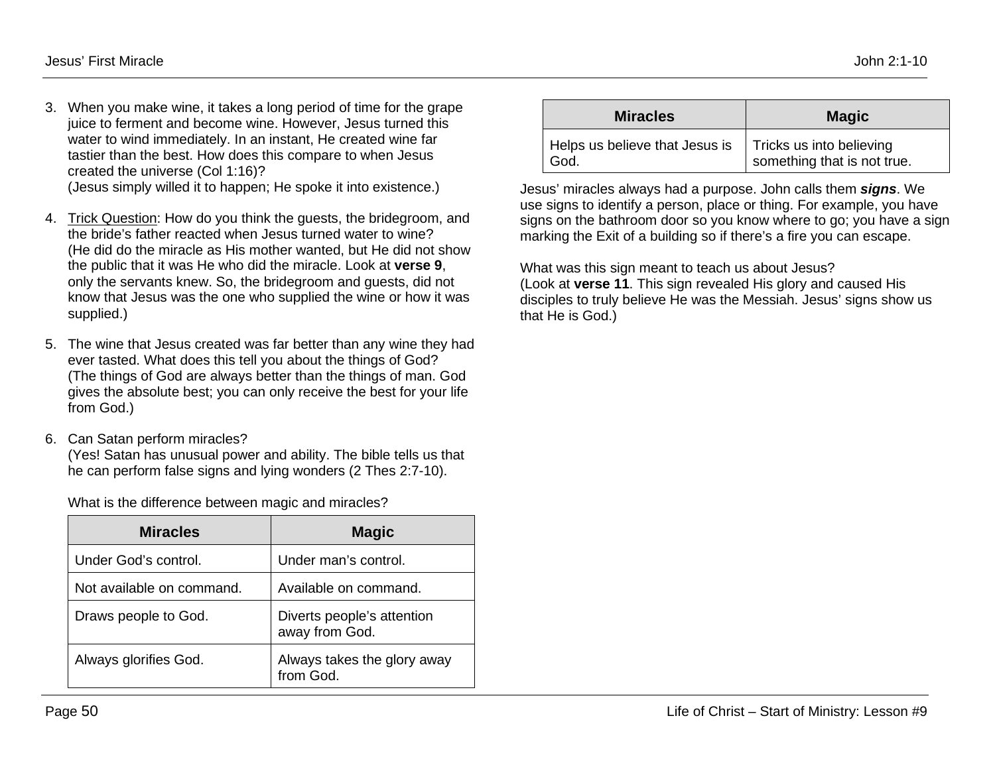3. When you make wine, it takes a long period of time for the grape juice to ferment and become wine. However, Jesus turned this water to wind immediately. In an instant, He created wine far tastier than the best. How does this compare to when Jesus created the universe (Col 1:16)?

(Jesus simply willed it to happen; He spoke it into existence.)

- 4. Trick Question: How do you think the guests, the bridegroom, and the bride's father reacted when Jesus turned water to wine? (He did do the miracle as His mother wanted, but He did not show the public that it was He who did the miracle. Look at **verse 9**, only the servants knew. So, the bridegroom and guests, did not know that Jesus was the one who supplied the wine or how it was supplied.)
- 5. The wine that Jesus created was far better than any wine they had ever tasted. What does this tell you about the things of God? (The things of God are always better than the things of man. God gives the absolute best; you can only receive the best for your life from God.)
- 6. Can Satan perform miracles?

(Yes! Satan has unusual power and ability. The bible tells us that he can perform false signs and lying wonders (2 Thes 2:7-10).

|  |  | What is the difference between magic and miracles? |  |
|--|--|----------------------------------------------------|--|
|  |  |                                                    |  |

| <b>Miracles</b>           | <b>Magic</b>                                 |  |
|---------------------------|----------------------------------------------|--|
| Under God's control.      | Under man's control.                         |  |
| Not available on command. | Available on command.                        |  |
| Draws people to God.      | Diverts people's attention<br>away from God. |  |
| Always glorifies God.     | Always takes the glory away<br>from God.     |  |

| <b>Miracles</b>                | <b>Magic</b>                |
|--------------------------------|-----------------------------|
| Helps us believe that Jesus is | Tricks us into believing    |
| God.                           | something that is not true. |

Jesus' miracles always had a purpose. John calls them *signs*. We use signs to identify a person, place or thing. For example, you have signs on the bathroom door so you know where to go; you have a sign marking the Exit of a building so if there's a fire you can escape.

What was this sign meant to teach us about Jesus? (Look at **verse 11**. This sign revealed His glory and caused His disciples to truly believe He was the Messiah. Jesus' signs show us that He is God.)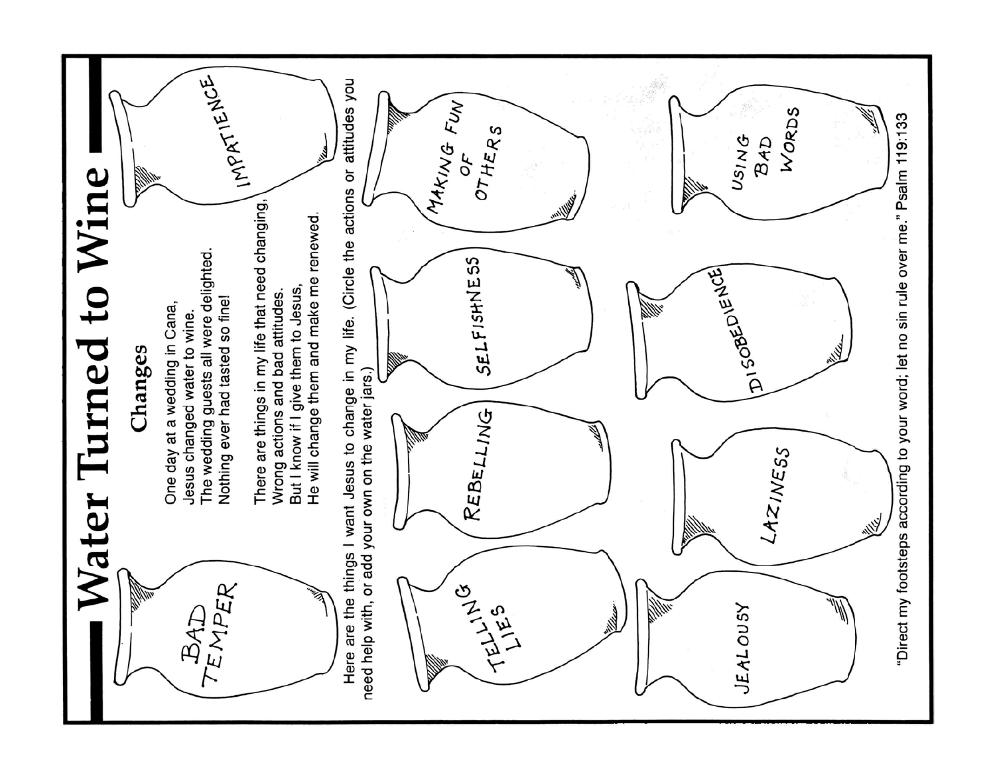